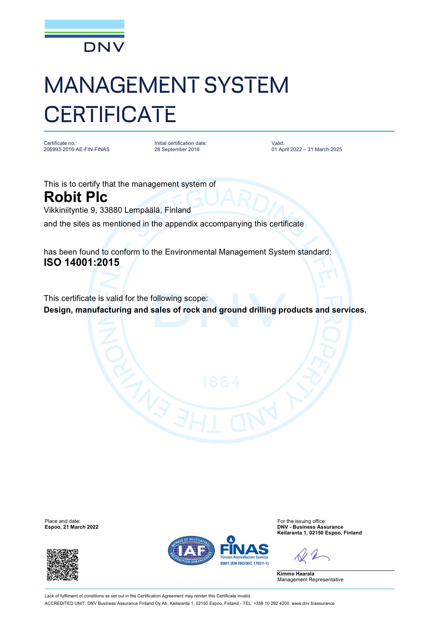

## MANAGEMENT SYSTEM **CERTIFICATE**

Certificate no.: 206993-2016-AE-FIN-FINAS Initial certification date: 28 September 2016

Valid: 01 April 2022 – 31 March 2025

This is to certify that the management system of **Robit Plc** Vikkiniityntie 9, 33880 Lempäälä, Finland

and the sites as mentioned in the appendix accompanying this certificate

has been found to conform to the Environmental Management System standard: **ISO 14001:2015**

This certificate is valid for the following scope: **Design, manufacturing and sales of rock and ground drilling products and services.**

Place and date: For the issuing office:<br>
For the issuing office:<br>
For the issuing office:<br>
For the issuing office:<br>
DNV - Business Ass





**Espoo, 21 March 2022 DNV - Business Assurance Keilaranta 1, 02150 Espoo, Finland**

**Kimmo Haarala** Management Representative

Lack of fulfilment of conditions as set out in the Certification Agreement may render this Certificate invalid. ACCREDITED UNIT: DNV Business Assurance Finland Oy Ab, Keilaranta 1, 02150 Espoo, Finland - TEL: +358 10 292 4200. [www.dnv.fi/assurance](http://www.dnv.fi/assurance)